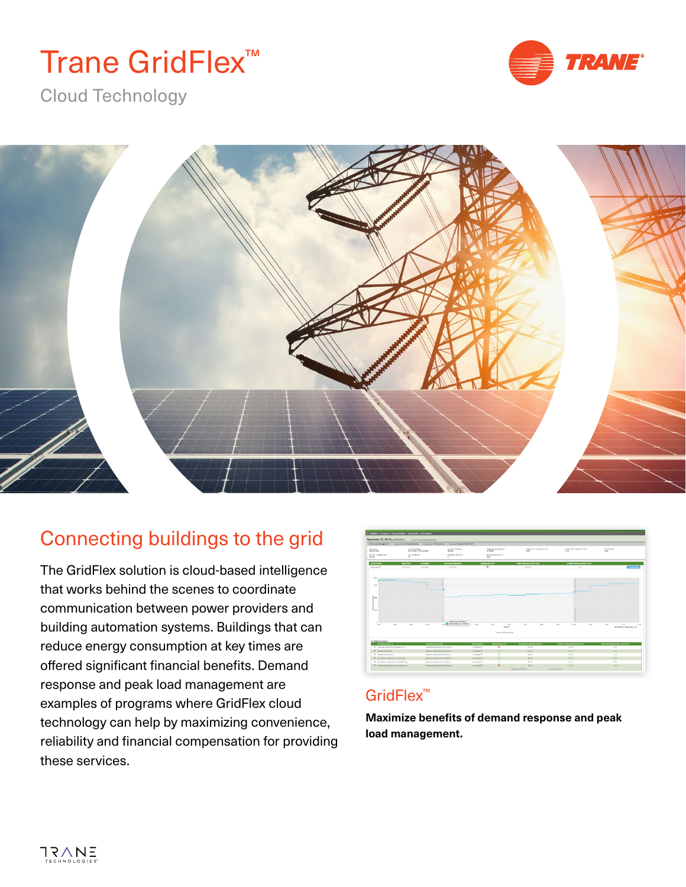# Trane GridFlex<sup>™</sup>



Cloud Technology



## Connecting buildings to the grid

The GridFlex solution is cloud-based intelligence that works behind the scenes to coordinate communication between power providers and building automation systems. Buildings that can reduce energy consumption at key times are offered significant financial benefits. Demand response and peak load management are examples of programs where GridFlex cloud technology can help by maximizing convenience, reliability and financial compensation for providing these services.

|                                                                                                                                                            |                                   | EDISTAND Measured According Demand Resident Metal Countries - Tracera Meanwealth (MSF) |                                                             |                                      |                                                                |                                            |               |                                               |             |                                                 |  |
|------------------------------------------------------------------------------------------------------------------------------------------------------------|-----------------------------------|----------------------------------------------------------------------------------------|-------------------------------------------------------------|--------------------------------------|----------------------------------------------------------------|--------------------------------------------|---------------|-----------------------------------------------|-------------|-------------------------------------------------|--|
| <b>Seminant</b><br>Term Gane Kenge<br>010512029 03:00:2018<br>205112 Face<br>the big start between<br>Max Bull Bracks<br><b>Not fed</b><br>$\overline{15}$ |                                   |                                                                                        | <b>Dient Time Windows</b><br>Not list                       | Target Demand Fasture on<br>2230 897 |                                                                | <b>Program Mix Austination Time</b><br>25n |               | <b>Burging Min. Nethanism Time</b><br>$2.5\%$ |             | <b>HauGundan</b><br>22m                         |  |
|                                                                                                                                                            |                                   |                                                                                        | For Knoxy Catal OF                                          |                                      | Receive Convieto 4 (2)<br><b>None</b>                          |                                            |               |                                               |             |                                                 |  |
| <b>CATAR STARTING</b>                                                                                                                                      | <b>Houst Final</b>                | <b><i><u>INSERIES</u></i></b>                                                          | <b><i>RAFFERDRAKE</i></b>                                   |                                      | <b>COMMENTARY</b>                                              | <b>THREE EXPERIMENTS</b>                   |               | CONFIDENTIAL RESIDENCE                        |             |                                                 |  |
| Company O                                                                                                                                                  | an ara living to                  | project.                                                                               | Entrime                                                     |                                      | $\mathbf{x}$                                                   | area ext                                   |               | <b>Suite</b>                                  |             | <b>CONTRACTOR</b>                               |  |
| said<br><b>LAW</b><br>han<br>$\frac{2}{3}$ in                                                                                                              |                                   |                                                                                        |                                                             |                                      |                                                                |                                            |               |                                               |             |                                                 |  |
| <b>Seat</b>                                                                                                                                                | To all<br><b>Selle</b>            | to an                                                                                  | <b>Books for 30 Millions</b><br>and Abschools last title in | <b>Hotel</b>                         | <b>Matt</b><br><b>DOM</b><br><b>Taxable To</b><br>-Alumbiation | <b>Index</b>                               | <b>Select</b> | <b>Lease</b><br>100                           | <b>Inch</b> | 15m<br>1014<br>Learnington Plan September 17-22 |  |
| <b>Building Summary:</b><br><b>BUSINESSMAN</b> A                                                                                                           |                                   | <b>CRUSHERWANN</b>                                                                     |                                                             | company.                             | CONVENIENCE:                                                   | <b>MARY DEANG ROUGH</b>                    |               | лекация серверов вырастиры О-                 |             | лиционное совместности 0                        |  |
|                                                                                                                                                            | 3 Cheese righters transferritting |                                                                                        | Gadoon nower dest jures Charlot                             |                                      | $\mathbf{x}$                                                   | sist out                                   |               | <b>AM MM</b>                                  |             | alon.                                           |  |
| 3. Georgia Han Street                                                                                                                                      |                                   |                                                                                        | Selezioni militarea dall'all'interiore di provincia         |                                      | $\mathcal{F}$                                                  | <b>Silver</b>                              |               | 220,000                                       |             | <b>Allen</b>                                    |  |
| 3 Calcian Malita School                                                                                                                                    |                                   | Outside to be written for any Clair of                                                 |                                                             | Congrated (D)                        | ¥<br>$\mathcal{L}$                                             | at cir.<br>Winter                          |               | engine                                        |             | 17490                                           |  |
| 3 Santa Stress High School Mark Building                                                                                                                   |                                   | <b>Outstan Indianska School Old For</b><br>Galancia mander School Glazar               |                                                             | Corporat D<br>Concerned Dr.          | $\overline{\phantom{a}}$                                       | 27.695                                     |               | <b>THE VIA</b><br><b>TT STA</b>               |             | 1179<br>SCPA                                    |  |
| 2 Senderse Handsbort to Adulty                                                                                                                             |                                   |                                                                                        |                                                             |                                      | ×                                                              |                                            |               |                                               |             |                                                 |  |
| 3 Earth Bress Matte Lines Stuff Guiding                                                                                                                    |                                   | <b>Galyman Instrumental Links Chevrolet</b>                                            |                                                             | Company (2)                          |                                                                | <b>SCHAR</b><br><b>Senior Road APM and</b> |               | <b>Street</b><br><b>Cornel Sea NA</b>         |             | <b>TILE</b>                                     |  |

#### GridFlex<sup>™</sup>

**Maximize benefits of demand response and peak load management.**